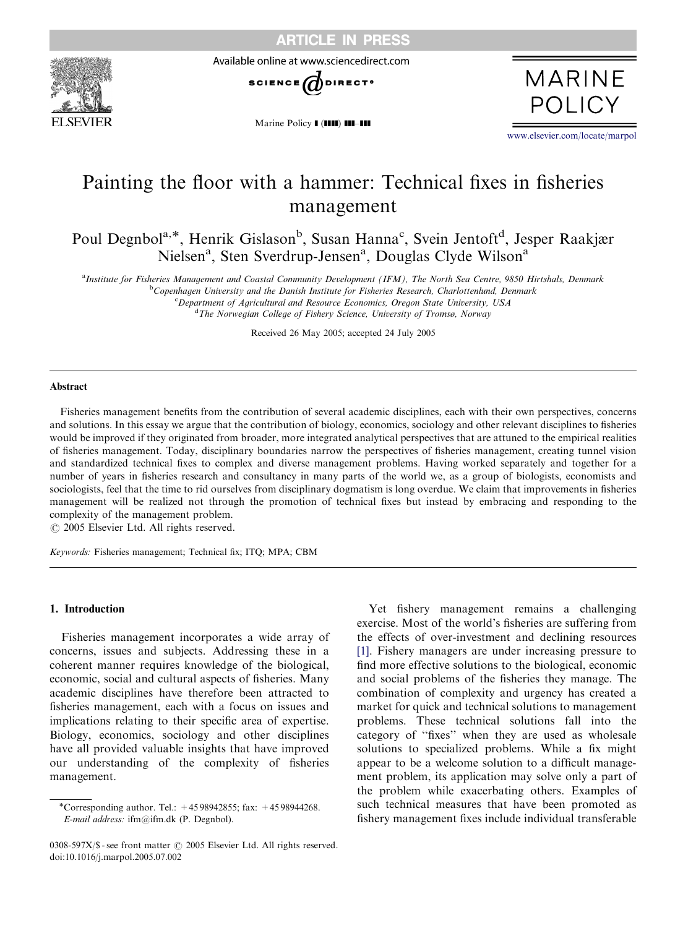

Available online at www.sciencedirect.com



Marine Policy I (IIII) III-III

MARINE **POLICY** 

<www.elsevier.com/locate/marpol>

# Painting the floor with a hammer: Technical fixes in fisheries management

Poul Degnbol<sup>a,\*</sup>, Henrik Gislason<sup>b</sup>, Susan Hanna<sup>c</sup>, Svein Jentoft<sup>d</sup>, Jesper Raakjær Nielsen<sup>a</sup>, Sten Sverdrup-Jensen<sup>a</sup>, Douglas Clyde Wilson<sup>a</sup>

a Institute for Fisheries Management and Coastal Community Development (IFM), The North Sea Centre, 9850 Hirtshals, Denmark

<sup>b</sup>Copenhagen University and the Danish Institute for Fisheries Research, Charlottenlund, Denmark

<sup>c</sup>Department of Agricultural and Resource Economics, Oregon State University, USA

<sup>d</sup>The Norwegian College of Fishery Science, University of Tromsø, Norway

Received 26 May 2005; accepted 24 July 2005

# Abstract

Fisheries management benefits from the contribution of several academic disciplines, each with their own perspectives, concerns and solutions. In this essay we argue that the contribution of biology, economics, sociology and other relevant disciplines to fisheries would be improved if they originated from broader, more integrated analytical perspectives that are attuned to the empirical realities of fisheries management. Today, disciplinary boundaries narrow the perspectives of fisheries management, creating tunnel vision and standardized technical fixes to complex and diverse management problems. Having worked separately and together for a number of years in fisheries research and consultancy in many parts of the world we, as a group of biologists, economists and sociologists, feel that the time to rid ourselves from disciplinary dogmatism is long overdue. We claim that improvements in fisheries management will be realized not through the promotion of technical fixes but instead by embracing and responding to the complexity of the management problem.

 $C$  2005 Elsevier Ltd. All rights reserved.

Keywords: Fisheries management; Technical fix; ITQ; MPA; CBM

# 1. Introduction

Fisheries management incorporates a wide array of concerns, issues and subjects. Addressing these in a coherent manner requires knowledge of the biological, economic, social and cultural aspects of fisheries. Many academic disciplines have therefore been attracted to fisheries management, each with a focus on issues and implications relating to their specific area of expertise. Biology, economics, sociology and other disciplines have all provided valuable insights that have improved our understanding of the complexity of fisheries management.

Yet fishery management remains a challenging exercise. Most of the world's fisheries are suffering from the effects of over-investment and declining resources [\[1\].](#page-8-0) Fishery managers are under increasing pressure to find more effective solutions to the biological, economic and social problems of the fisheries they manage. The combination of complexity and urgency has created a market for quick and technical solutions to management problems. These technical solutions fall into the category of ''fixes'' when they are used as wholesale solutions to specialized problems. While a fix might appear to be a welcome solution to a difficult management problem, its application may solve only a part of the problem while exacerbating others. Examples of such technical measures that have been promoted as fishery management fixes include individual transferable

<sup>\*</sup>Corresponding author. Tel.:  $+4598942855$ ; fax:  $+4598944268$ . E-mail address: ifm@ifm.dk (P. Degnbol).

<sup>0308-597</sup>X/\$ - see front matter  $\odot$  2005 Elsevier Ltd. All rights reserved. doi:10.1016/j.marpol.2005.07.002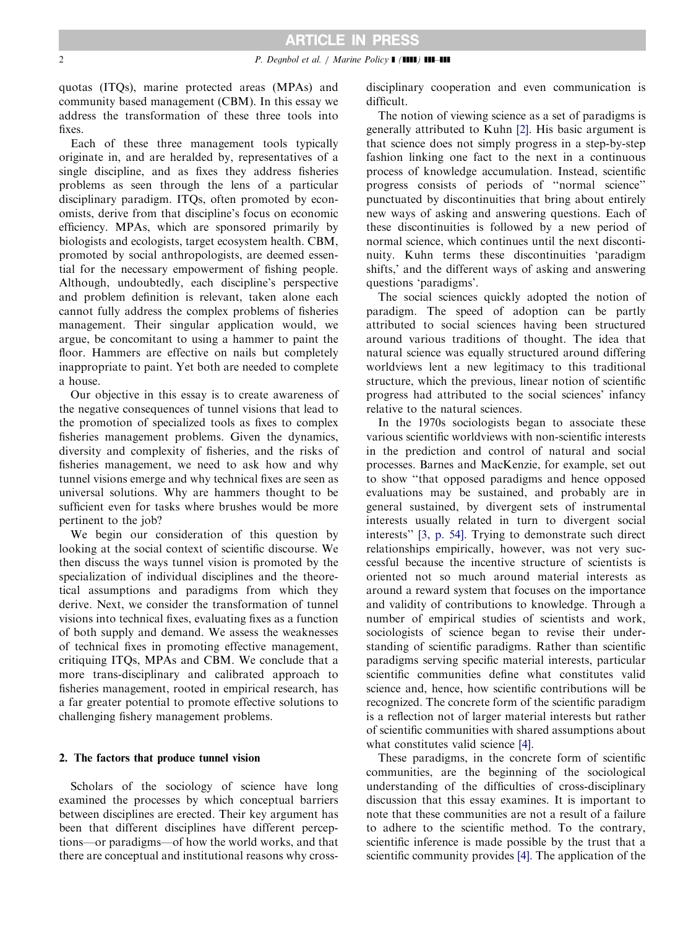quotas (ITQs), marine protected areas (MPAs) and community based management (CBM). In this essay we address the transformation of these three tools into fixes.

Each of these three management tools typically originate in, and are heralded by, representatives of a single discipline, and as fixes they address fisheries problems as seen through the lens of a particular disciplinary paradigm. ITQs, often promoted by economists, derive from that discipline's focus on economic efficiency. MPAs, which are sponsored primarily by biologists and ecologists, target ecosystem health. CBM, promoted by social anthropologists, are deemed essential for the necessary empowerment of fishing people. Although, undoubtedly, each discipline's perspective and problem definition is relevant, taken alone each cannot fully address the complex problems of fisheries management. Their singular application would, we argue, be concomitant to using a hammer to paint the floor. Hammers are effective on nails but completely inappropriate to paint. Yet both are needed to complete a house.

Our objective in this essay is to create awareness of the negative consequences of tunnel visions that lead to the promotion of specialized tools as fixes to complex fisheries management problems. Given the dynamics, diversity and complexity of fisheries, and the risks of fisheries management, we need to ask how and why tunnel visions emerge and why technical fixes are seen as universal solutions. Why are hammers thought to be sufficient even for tasks where brushes would be more pertinent to the job?

We begin our consideration of this question by looking at the social context of scientific discourse. We then discuss the ways tunnel vision is promoted by the specialization of individual disciplines and the theoretical assumptions and paradigms from which they derive. Next, we consider the transformation of tunnel visions into technical fixes, evaluating fixes as a function of both supply and demand. We assess the weaknesses of technical fixes in promoting effective management, critiquing ITQs, MPAs and CBM. We conclude that a more trans-disciplinary and calibrated approach to fisheries management, rooted in empirical research, has a far greater potential to promote effective solutions to challenging fishery management problems.

# 2. The factors that produce tunnel vision

Scholars of the sociology of science have long examined the processes by which conceptual barriers between disciplines are erected. Their key argument has been that different disciplines have different perceptions—or paradigms—of how the world works, and that there are conceptual and institutional reasons why crossdisciplinary cooperation and even communication is difficult.

The notion of viewing science as a set of paradigms is generally attributed to Kuhn [\[2\]](#page-8-0). His basic argument is that science does not simply progress in a step-by-step fashion linking one fact to the next in a continuous process of knowledge accumulation. Instead, scientific progress consists of periods of ''normal science'' punctuated by discontinuities that bring about entirely new ways of asking and answering questions. Each of these discontinuities is followed by a new period of normal science, which continues until the next discontinuity. Kuhn terms these discontinuities 'paradigm shifts,' and the different ways of asking and answering questions 'paradigms'.

The social sciences quickly adopted the notion of paradigm. The speed of adoption can be partly attributed to social sciences having been structured around various traditions of thought. The idea that natural science was equally structured around differing worldviews lent a new legitimacy to this traditional structure, which the previous, linear notion of scientific progress had attributed to the social sciences' infancy relative to the natural sciences.

In the 1970s sociologists began to associate these various scientific worldviews with non-scientific interests in the prediction and control of natural and social processes. Barnes and MacKenzie, for example, set out to show ''that opposed paradigms and hence opposed evaluations may be sustained, and probably are in general sustained, by divergent sets of instrumental interests usually related in turn to divergent social interests'' [\[3, p. 54\].](#page-8-0) Trying to demonstrate such direct relationships empirically, however, was not very successful because the incentive structure of scientists is oriented not so much around material interests as around a reward system that focuses on the importance and validity of contributions to knowledge. Through a number of empirical studies of scientists and work, sociologists of science began to revise their understanding of scientific paradigms. Rather than scientific paradigms serving specific material interests, particular scientific communities define what constitutes valid science and, hence, how scientific contributions will be recognized. The concrete form of the scientific paradigm is a reflection not of larger material interests but rather of scientific communities with shared assumptions about what constitutes valid science [\[4\]](#page-9-0).

These paradigms, in the concrete form of scientific communities, are the beginning of the sociological understanding of the difficulties of cross-disciplinary discussion that this essay examines. It is important to note that these communities are not a result of a failure to adhere to the scientific method. To the contrary, scientific inference is made possible by the trust that a scientific community provides [\[4\]](#page-9-0). The application of the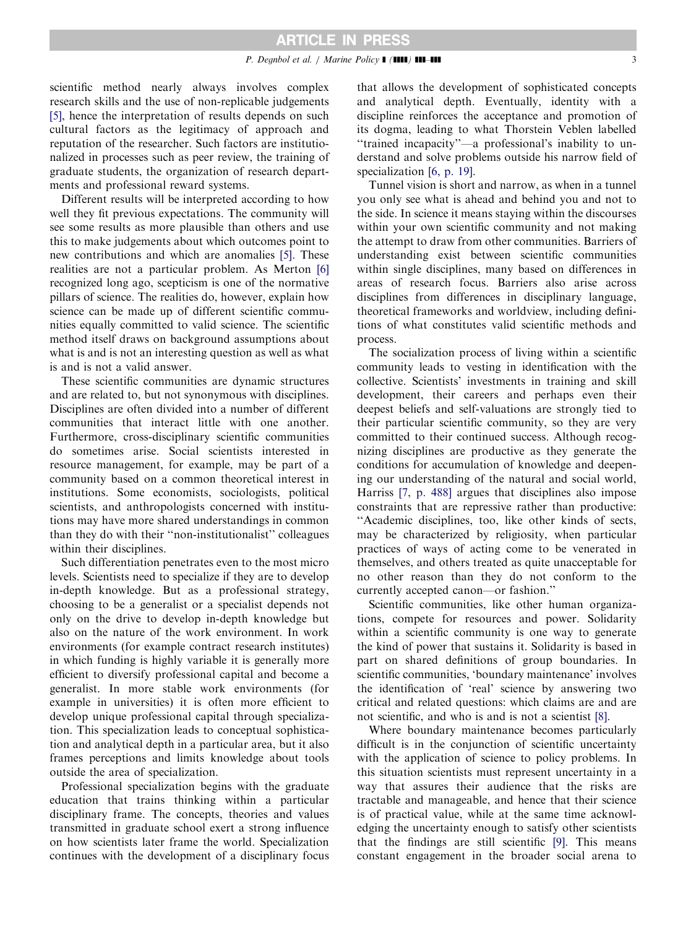#### P. Degnbol et al. / Marine Policy  $\blacksquare$  ( $\blacksquare$ )  $\blacksquare$

scientific method nearly always involves complex research skills and the use of non-replicable judgements [\[5\],](#page-9-0) hence the interpretation of results depends on such cultural factors as the legitimacy of approach and reputation of the researcher. Such factors are institutionalized in processes such as peer review, the training of graduate students, the organization of research departments and professional reward systems.

Different results will be interpreted according to how well they fit previous expectations. The community will see some results as more plausible than others and use this to make judgements about which outcomes point to new contributions and which are anomalies [\[5\].](#page-9-0) These realities are not a particular problem. As Merton [\[6\]](#page-9-0) recognized long ago, scepticism is one of the normative pillars of science. The realities do, however, explain how science can be made up of different scientific communities equally committed to valid science. The scientific method itself draws on background assumptions about what is and is not an interesting question as well as what is and is not a valid answer.

These scientific communities are dynamic structures and are related to, but not synonymous with disciplines. Disciplines are often divided into a number of different communities that interact little with one another. Furthermore, cross-disciplinary scientific communities do sometimes arise. Social scientists interested in resource management, for example, may be part of a community based on a common theoretical interest in institutions. Some economists, sociologists, political scientists, and anthropologists concerned with institutions may have more shared understandings in common than they do with their ''non-institutionalist'' colleagues within their disciplines.

Such differentiation penetrates even to the most micro levels. Scientists need to specialize if they are to develop in-depth knowledge. But as a professional strategy, choosing to be a generalist or a specialist depends not only on the drive to develop in-depth knowledge but also on the nature of the work environment. In work environments (for example contract research institutes) in which funding is highly variable it is generally more efficient to diversify professional capital and become a generalist. In more stable work environments (for example in universities) it is often more efficient to develop unique professional capital through specialization. This specialization leads to conceptual sophistication and analytical depth in a particular area, but it also frames perceptions and limits knowledge about tools outside the area of specialization.

Professional specialization begins with the graduate education that trains thinking within a particular disciplinary frame. The concepts, theories and values transmitted in graduate school exert a strong influence on how scientists later frame the world. Specialization continues with the development of a disciplinary focus that allows the development of sophisticated concepts and analytical depth. Eventually, identity with a discipline reinforces the acceptance and promotion of its dogma, leading to what Thorstein Veblen labelled ''trained incapacity''—a professional's inability to understand and solve problems outside his narrow field of specialization [\[6, p. 19\]](#page-9-0).

Tunnel vision is short and narrow, as when in a tunnel you only see what is ahead and behind you and not to the side. In science it means staying within the discourses within your own scientific community and not making the attempt to draw from other communities. Barriers of understanding exist between scientific communities within single disciplines, many based on differences in areas of research focus. Barriers also arise across disciplines from differences in disciplinary language, theoretical frameworks and worldview, including definitions of what constitutes valid scientific methods and process.

The socialization process of living within a scientific community leads to vesting in identification with the collective. Scientists' investments in training and skill development, their careers and perhaps even their deepest beliefs and self-valuations are strongly tied to their particular scientific community, so they are very committed to their continued success. Although recognizing disciplines are productive as they generate the conditions for accumulation of knowledge and deepening our understanding of the natural and social world, Harriss [\[7, p. 488\]](#page-9-0) argues that disciplines also impose constraints that are repressive rather than productive: ''Academic disciplines, too, like other kinds of sects, may be characterized by religiosity, when particular practices of ways of acting come to be venerated in themselves, and others treated as quite unacceptable for no other reason than they do not conform to the currently accepted canon—or fashion.''

Scientific communities, like other human organizations, compete for resources and power. Solidarity within a scientific community is one way to generate the kind of power that sustains it. Solidarity is based in part on shared definitions of group boundaries. In scientific communities, 'boundary maintenance' involves the identification of 'real' science by answering two critical and related questions: which claims are and are not scientific, and who is and is not a scientist [\[8\].](#page-9-0)

Where boundary maintenance becomes particularly difficult is in the conjunction of scientific uncertainty with the application of science to policy problems. In this situation scientists must represent uncertainty in a way that assures their audience that the risks are tractable and manageable, and hence that their science is of practical value, while at the same time acknowledging the uncertainty enough to satisfy other scientists that the findings are still scientific [\[9\]](#page-9-0). This means constant engagement in the broader social arena to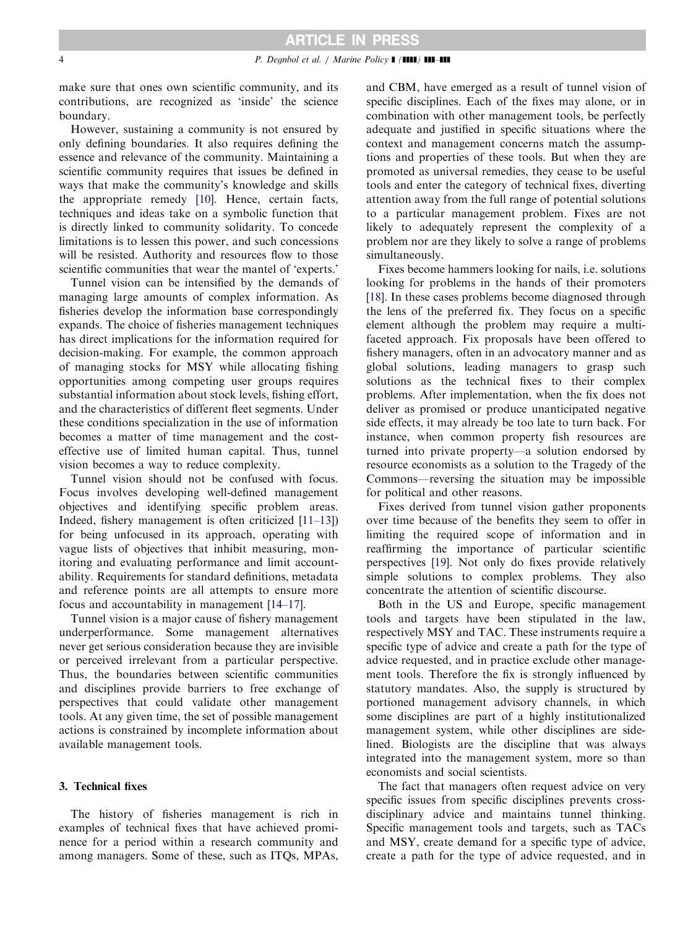make sure that ones own scientific community, and its contributions, are recognized as 'inside' the science boundary.

However, sustaining a community is not ensured by only defining boundaries. It also requires defining the essence and relevance of the community. Maintaining a scientific community requires that issues be defined in ways that make the community's knowledge and skills the appropriate remedy [\[10\]](#page-9-0). Hence, certain facts, techniques and ideas take on a symbolic function that is directly linked to community solidarity. To concede limitations is to lessen this power, and such concessions will be resisted. Authority and resources flow to those scientific communities that wear the mantel of 'experts.'

Tunnel vision can be intensified by the demands of managing large amounts of complex information. As fisheries develop the information base correspondingly expands. The choice of fisheries management techniques has direct implications for the information required for decision-making. For example, the common approach of managing stocks for MSY while allocating fishing opportunities among competing user groups requires substantial information about stock levels, fishing effort, and the characteristics of different fleet segments. Under these conditions specialization in the use of information becomes a matter of time management and the costeffective use of limited human capital. Thus, tunnel vision becomes a way to reduce complexity.

Tunnel vision should not be confused with focus. Focus involves developing well-defined management objectives and identifying specific problem areas. Indeed, fishery management is often criticized [\[11–13\]](#page-9-0)) for being unfocused in its approach, operating with vague lists of objectives that inhibit measuring, monitoring and evaluating performance and limit accountability. Requirements for standard definitions, metadata and reference points are all attempts to ensure more focus and accountability in management [\[14–17\]](#page-9-0).

Tunnel vision is a major cause of fishery management underperformance. Some management alternatives never get serious consideration because they are invisible or perceived irrelevant from a particular perspective. Thus, the boundaries between scientific communities and disciplines provide barriers to free exchange of perspectives that could validate other management tools. At any given time, the set of possible management actions is constrained by incomplete information about available management tools.

# 3. Technical fixes

The history of fisheries management is rich in examples of technical fixes that have achieved prominence for a period within a research community and among managers. Some of these, such as ITQs, MPAs,

and CBM, have emerged as a result of tunnel vision of specific disciplines. Each of the fixes may alone, or in combination with other management tools, be perfectly adequate and justified in specific situations where the context and management concerns match the assumptions and properties of these tools. But when they are promoted as universal remedies, they cease to be useful tools and enter the category of technical fixes, diverting attention away from the full range of potential solutions to a particular management problem. Fixes are not likely to adequately represent the complexity of a problem nor are they likely to solve a range of problems simultaneously.

Fixes become hammers looking for nails, i.e. solutions looking for problems in the hands of their promoters [\[18\].](#page-9-0) In these cases problems become diagnosed through the lens of the preferred fix. They focus on a specific element although the problem may require a multifaceted approach. Fix proposals have been offered to fishery managers, often in an advocatory manner and as global solutions, leading managers to grasp such solutions as the technical fixes to their complex problems. After implementation, when the fix does not deliver as promised or produce unanticipated negative side effects, it may already be too late to turn back. For instance, when common property fish resources are turned into private property—a solution endorsed by resource economists as a solution to the Tragedy of the Commons—reversing the situation may be impossible for political and other reasons.

Fixes derived from tunnel vision gather proponents over time because of the benefits they seem to offer in limiting the required scope of information and in reaffirming the importance of particular scientific perspectives [\[19\].](#page-9-0) Not only do fixes provide relatively simple solutions to complex problems. They also concentrate the attention of scientific discourse.

Both in the US and Europe, specific management tools and targets have been stipulated in the law, respectively MSY and TAC. These instruments require a specific type of advice and create a path for the type of advice requested, and in practice exclude other management tools. Therefore the fix is strongly influenced by statutory mandates. Also, the supply is structured by portioned management advisory channels, in which some disciplines are part of a highly institutionalized management system, while other disciplines are sidelined. Biologists are the discipline that was always integrated into the management system, more so than economists and social scientists.

The fact that managers often request advice on very specific issues from specific disciplines prevents crossdisciplinary advice and maintains tunnel thinking. Specific management tools and targets, such as TACs and MSY, create demand for a specific type of advice, create a path for the type of advice requested, and in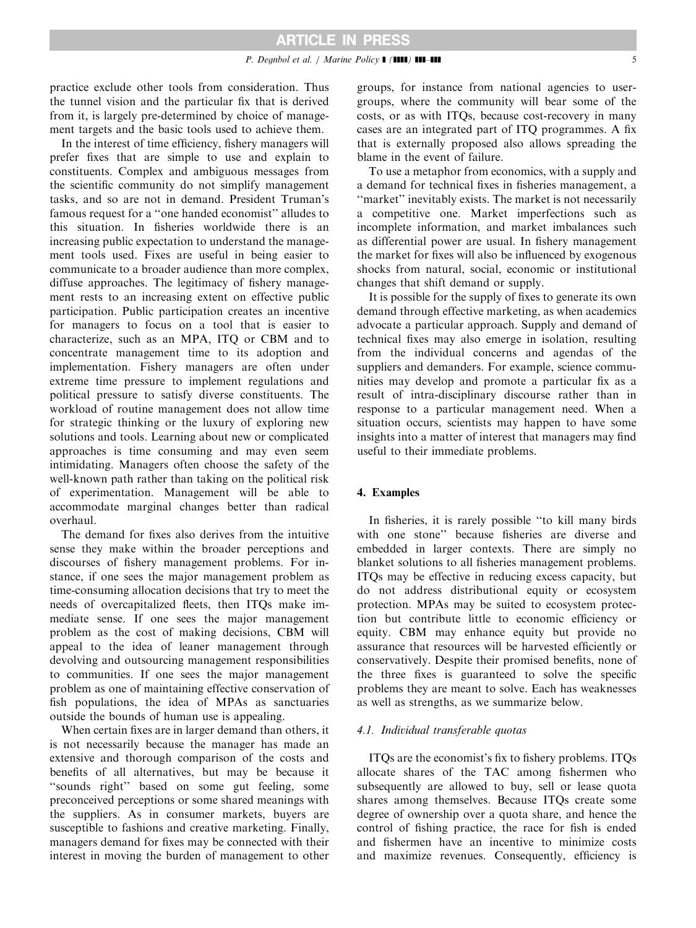# P. Degnbol et al. / Marine Policy  $\blacksquare$  ( $\blacksquare$ )  $\blacksquare$ ]

practice exclude other tools from consideration. Thus the tunnel vision and the particular fix that is derived from it, is largely pre-determined by choice of management targets and the basic tools used to achieve them.

In the interest of time efficiency, fishery managers will prefer fixes that are simple to use and explain to constituents. Complex and ambiguous messages from the scientific community do not simplify management tasks, and so are not in demand. President Truman's famous request for a ''one handed economist'' alludes to this situation. In fisheries worldwide there is an increasing public expectation to understand the management tools used. Fixes are useful in being easier to communicate to a broader audience than more complex, diffuse approaches. The legitimacy of fishery management rests to an increasing extent on effective public participation. Public participation creates an incentive for managers to focus on a tool that is easier to characterize, such as an MPA, ITQ or CBM and to concentrate management time to its adoption and implementation. Fishery managers are often under extreme time pressure to implement regulations and political pressure to satisfy diverse constituents. The workload of routine management does not allow time for strategic thinking or the luxury of exploring new solutions and tools. Learning about new or complicated approaches is time consuming and may even seem intimidating. Managers often choose the safety of the well-known path rather than taking on the political risk of experimentation. Management will be able to accommodate marginal changes better than radical overhaul.

The demand for fixes also derives from the intuitive sense they make within the broader perceptions and discourses of fishery management problems. For instance, if one sees the major management problem as time-consuming allocation decisions that try to meet the needs of overcapitalized fleets, then ITQs make immediate sense. If one sees the major management problem as the cost of making decisions, CBM will appeal to the idea of leaner management through devolving and outsourcing management responsibilities to communities. If one sees the major management problem as one of maintaining effective conservation of fish populations, the idea of MPAs as sanctuaries outside the bounds of human use is appealing.

When certain fixes are in larger demand than others, it is not necessarily because the manager has made an extensive and thorough comparison of the costs and benefits of all alternatives, but may be because it "sounds right" based on some gut feeling, some preconceived perceptions or some shared meanings with the suppliers. As in consumer markets, buyers are susceptible to fashions and creative marketing. Finally, managers demand for fixes may be connected with their interest in moving the burden of management to other

groups, for instance from national agencies to usergroups, where the community will bear some of the costs, or as with ITQs, because cost-recovery in many cases are an integrated part of ITQ programmes. A fix that is externally proposed also allows spreading the blame in the event of failure.

To use a metaphor from economics, with a supply and a demand for technical fixes in fisheries management, a ''market'' inevitably exists. The market is not necessarily a competitive one. Market imperfections such as incomplete information, and market imbalances such as differential power are usual. In fishery management the market for fixes will also be influenced by exogenous shocks from natural, social, economic or institutional changes that shift demand or supply.

It is possible for the supply of fixes to generate its own demand through effective marketing, as when academics advocate a particular approach. Supply and demand of technical fixes may also emerge in isolation, resulting from the individual concerns and agendas of the suppliers and demanders. For example, science communities may develop and promote a particular fix as a result of intra-disciplinary discourse rather than in response to a particular management need. When a situation occurs, scientists may happen to have some insights into a matter of interest that managers may find useful to their immediate problems.

# 4. Examples

In fisheries, it is rarely possible ''to kill many birds with one stone'' because fisheries are diverse and embedded in larger contexts. There are simply no blanket solutions to all fisheries management problems. ITQs may be effective in reducing excess capacity, but do not address distributional equity or ecosystem protection. MPAs may be suited to ecosystem protection but contribute little to economic efficiency or equity. CBM may enhance equity but provide no assurance that resources will be harvested efficiently or conservatively. Despite their promised benefits, none of the three fixes is guaranteed to solve the specific problems they are meant to solve. Each has weaknesses as well as strengths, as we summarize below.

# 4.1. Individual transferable quotas

ITQs are the economist's fix to fishery problems. ITQs allocate shares of the TAC among fishermen who subsequently are allowed to buy, sell or lease quota shares among themselves. Because ITQs create some degree of ownership over a quota share, and hence the control of fishing practice, the race for fish is ended and fishermen have an incentive to minimize costs and maximize revenues. Consequently, efficiency is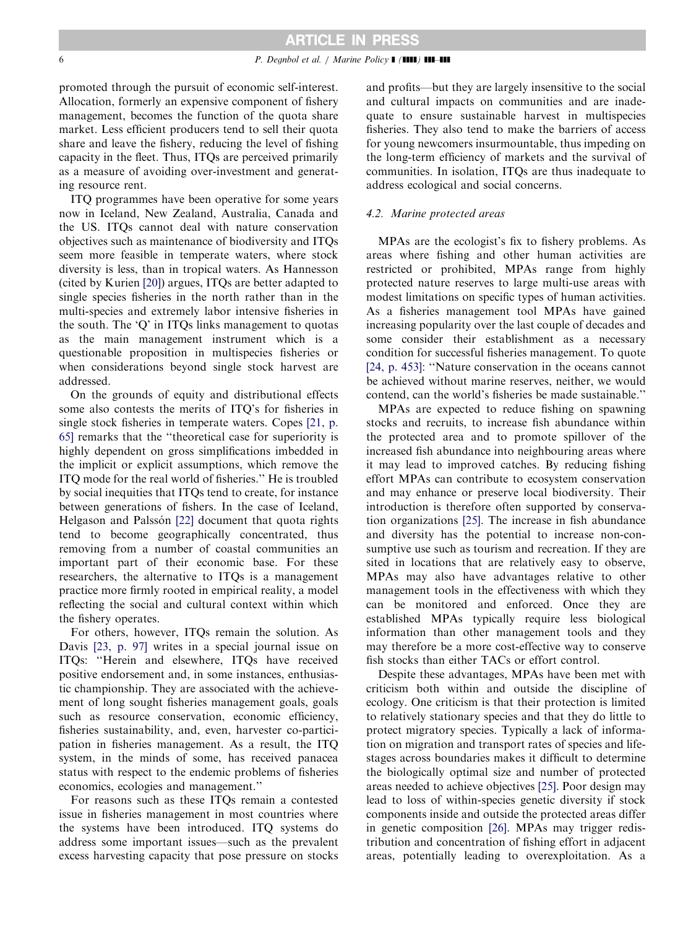promoted through the pursuit of economic self-interest. Allocation, formerly an expensive component of fishery management, becomes the function of the quota share market. Less efficient producers tend to sell their quota share and leave the fishery, reducing the level of fishing capacity in the fleet. Thus, ITQs are perceived primarily as a measure of avoiding over-investment and generating resource rent.

ITQ programmes have been operative for some years now in Iceland, New Zealand, Australia, Canada and the US. ITQs cannot deal with nature conservation objectives such as maintenance of biodiversity and ITQs seem more feasible in temperate waters, where stock diversity is less, than in tropical waters. As Hannesson (cited by Kurien [\[20\]\)](#page-9-0) argues, ITQs are better adapted to single species fisheries in the north rather than in the multi-species and extremely labor intensive fisheries in the south. The 'Q' in ITQs links management to quotas as the main management instrument which is a questionable proposition in multispecies fisheries or when considerations beyond single stock harvest are addressed.

On the grounds of equity and distributional effects some also contests the merits of ITQ's for fisheries in single stock fisheries in temperate waters. Copes [\[21, p.](#page-9-0) [65\]](#page-9-0) remarks that the ''theoretical case for superiority is highly dependent on gross simplifications imbedded in the implicit or explicit assumptions, which remove the ITQ mode for the real world of fisheries.'' He is troubled by social inequities that ITQs tend to create, for instance between generations of fishers. In the case of Iceland, Helgason and Palssón [\[22\]](#page-9-0) document that quota rights tend to become geographically concentrated, thus removing from a number of coastal communities an important part of their economic base. For these researchers, the alternative to ITQs is a management practice more firmly rooted in empirical reality, a model reflecting the social and cultural context within which the fishery operates.

For others, however, ITQs remain the solution. As Davis [\[23, p. 97\]](#page-9-0) writes in a special journal issue on ITQs: ''Herein and elsewhere, ITQs have received positive endorsement and, in some instances, enthusiastic championship. They are associated with the achievement of long sought fisheries management goals, goals such as resource conservation, economic efficiency, fisheries sustainability, and, even, harvester co-participation in fisheries management. As a result, the ITQ system, in the minds of some, has received panacea status with respect to the endemic problems of fisheries economics, ecologies and management.''

For reasons such as these ITQs remain a contested issue in fisheries management in most countries where the systems have been introduced. ITQ systems do address some important issues—such as the prevalent excess harvesting capacity that pose pressure on stocks and profits—but they are largely insensitive to the social and cultural impacts on communities and are inadequate to ensure sustainable harvest in multispecies fisheries. They also tend to make the barriers of access for young newcomers insurmountable, thus impeding on the long-term efficiency of markets and the survival of communities. In isolation, ITQs are thus inadequate to address ecological and social concerns.

#### 4.2. Marine protected areas

MPAs are the ecologist's fix to fishery problems. As areas where fishing and other human activities are restricted or prohibited, MPAs range from highly protected nature reserves to large multi-use areas with modest limitations on specific types of human activities. As a fisheries management tool MPAs have gained increasing popularity over the last couple of decades and some consider their establishment as a necessary condition for successful fisheries management. To quote [\[24, p. 453\]](#page-9-0): ''Nature conservation in the oceans cannot be achieved without marine reserves, neither, we would contend, can the world's fisheries be made sustainable.''

MPAs are expected to reduce fishing on spawning stocks and recruits, to increase fish abundance within the protected area and to promote spillover of the increased fish abundance into neighbouring areas where it may lead to improved catches. By reducing fishing effort MPAs can contribute to ecosystem conservation and may enhance or preserve local biodiversity. Their introduction is therefore often supported by conservation organizations [\[25\]](#page-9-0). The increase in fish abundance and diversity has the potential to increase non-consumptive use such as tourism and recreation. If they are sited in locations that are relatively easy to observe, MPAs may also have advantages relative to other management tools in the effectiveness with which they can be monitored and enforced. Once they are established MPAs typically require less biological information than other management tools and they may therefore be a more cost-effective way to conserve fish stocks than either TACs or effort control.

Despite these advantages, MPAs have been met with criticism both within and outside the discipline of ecology. One criticism is that their protection is limited to relatively stationary species and that they do little to protect migratory species. Typically a lack of information on migration and transport rates of species and lifestages across boundaries makes it difficult to determine the biologically optimal size and number of protected areas needed to achieve objectives [\[25\].](#page-9-0) Poor design may lead to loss of within-species genetic diversity if stock components inside and outside the protected areas differ in genetic composition [\[26\].](#page-9-0) MPAs may trigger redistribution and concentration of fishing effort in adjacent areas, potentially leading to overexploitation. As a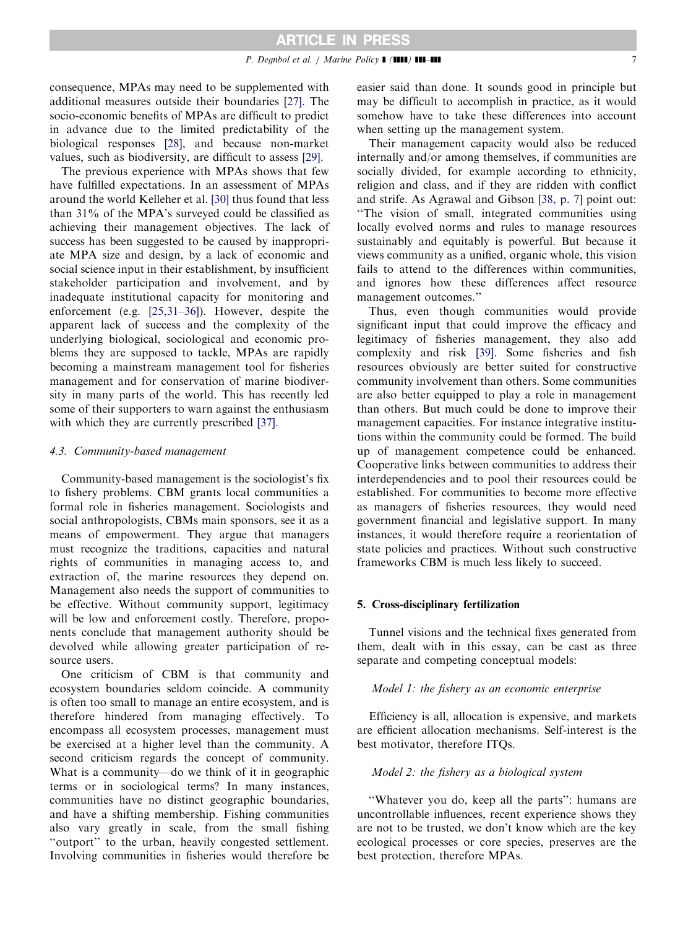consequence, MPAs may need to be supplemented with additional measures outside their boundaries [\[27\]](#page-9-0). The socio-economic benefits of MPAs are difficult to predict in advance due to the limited predictability of the biological responses [\[28\]](#page-9-0), and because non-market values, such as biodiversity, are difficult to assess [\[29\]](#page-9-0).

The previous experience with MPAs shows that few have fulfilled expectations. In an assessment of MPAs around the world Kelleher et al. [\[30\]](#page-9-0) thus found that less than 31% of the MPA's surveyed could be classified as achieving their management objectives. The lack of success has been suggested to be caused by inappropriate MPA size and design, by a lack of economic and social science input in their establishment, by insufficient stakeholder participation and involvement, and by inadequate institutional capacity for monitoring and enforcement (e.g. [\[25,31–36\]](#page-9-0)). However, despite the apparent lack of success and the complexity of the underlying biological, sociological and economic problems they are supposed to tackle, MPAs are rapidly becoming a mainstream management tool for fisheries management and for conservation of marine biodiversity in many parts of the world. This has recently led some of their supporters to warn against the enthusiasm with which they are currently prescribed [\[37\].](#page-9-0)

#### 4.3. Community-based management

Community-based management is the sociologist's fix to fishery problems. CBM grants local communities a formal role in fisheries management. Sociologists and social anthropologists, CBMs main sponsors, see it as a means of empowerment. They argue that managers must recognize the traditions, capacities and natural rights of communities in managing access to, and extraction of, the marine resources they depend on. Management also needs the support of communities to be effective. Without community support, legitimacy will be low and enforcement costly. Therefore, proponents conclude that management authority should be devolved while allowing greater participation of resource users.

One criticism of CBM is that community and ecosystem boundaries seldom coincide. A community is often too small to manage an entire ecosystem, and is therefore hindered from managing effectively. To encompass all ecosystem processes, management must be exercised at a higher level than the community. A second criticism regards the concept of community. What is a community—do we think of it in geographic terms or in sociological terms? In many instances, communities have no distinct geographic boundaries, and have a shifting membership. Fishing communities also vary greatly in scale, from the small fishing "outport" to the urban, heavily congested settlement. Involving communities in fisheries would therefore be easier said than done. It sounds good in principle but may be difficult to accomplish in practice, as it would somehow have to take these differences into account when setting up the management system.

Their management capacity would also be reduced internally and/or among themselves, if communities are socially divided, for example according to ethnicity, religion and class, and if they are ridden with conflict and strife. As Agrawal and Gibson [\[38, p. 7\]](#page-9-0) point out: ''The vision of small, integrated communities using locally evolved norms and rules to manage resources sustainably and equitably is powerful. But because it views community as a unified, organic whole, this vision fails to attend to the differences within communities, and ignores how these differences affect resource management outcomes.''

Thus, even though communities would provide significant input that could improve the efficacy and legitimacy of fisheries management, they also add complexity and risk [\[39\].](#page-9-0) Some fisheries and fish resources obviously are better suited for constructive community involvement than others. Some communities are also better equipped to play a role in management than others. But much could be done to improve their management capacities. For instance integrative institutions within the community could be formed. The build up of management competence could be enhanced. Cooperative links between communities to address their interdependencies and to pool their resources could be established. For communities to become more effective as managers of fisheries resources, they would need government financial and legislative support. In many instances, it would therefore require a reorientation of state policies and practices. Without such constructive frameworks CBM is much less likely to succeed.

# 5. Cross-disciplinary fertilization

Tunnel visions and the technical fixes generated from them, dealt with in this essay, can be cast as three separate and competing conceptual models:

#### Model 1: the fishery as an economic enterprise

Efficiency is all, allocation is expensive, and markets are efficient allocation mechanisms. Self-interest is the best motivator, therefore ITQs.

#### Model 2: the fishery as a biological system

''Whatever you do, keep all the parts'': humans are uncontrollable influences, recent experience shows they are not to be trusted, we don't know which are the key ecological processes or core species, preserves are the best protection, therefore MPAs.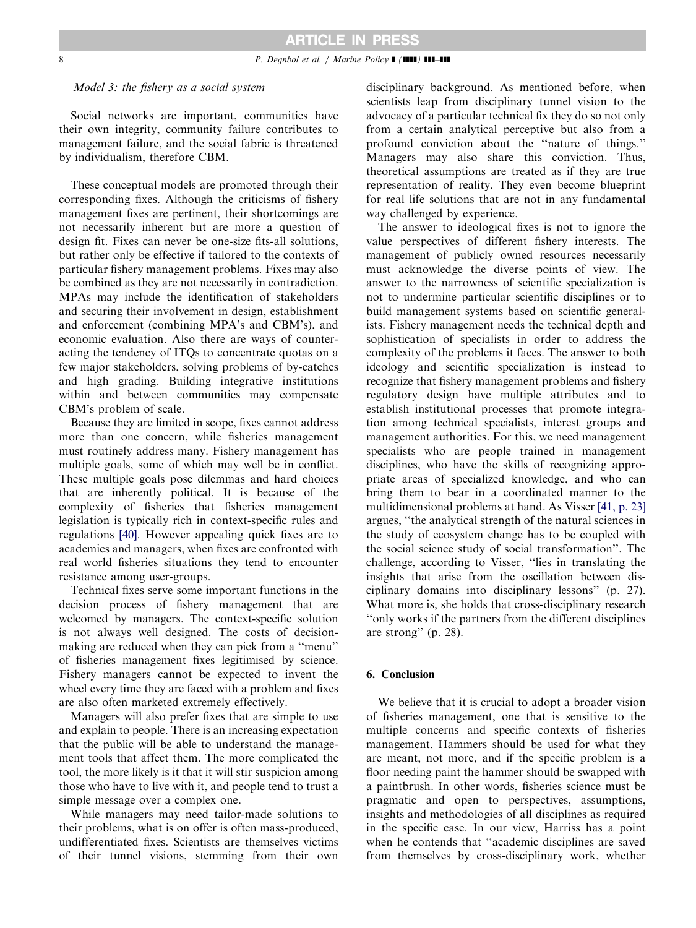# ARTICLE IN PRESS

#### 8 **P.** Degnbol et al. / Marine Policy **[4111]** [111-111]

# Model 3: the fishery as a social system

Social networks are important, communities have their own integrity, community failure contributes to management failure, and the social fabric is threatened by individualism, therefore CBM.

These conceptual models are promoted through their corresponding fixes. Although the criticisms of fishery management fixes are pertinent, their shortcomings are not necessarily inherent but are more a question of design fit. Fixes can never be one-size fits-all solutions, but rather only be effective if tailored to the contexts of particular fishery management problems. Fixes may also be combined as they are not necessarily in contradiction. MPAs may include the identification of stakeholders and securing their involvement in design, establishment and enforcement (combining MPA's and CBM's), and economic evaluation. Also there are ways of counteracting the tendency of ITQs to concentrate quotas on a few major stakeholders, solving problems of by-catches and high grading. Building integrative institutions within and between communities may compensate CBM's problem of scale.

Because they are limited in scope, fixes cannot address more than one concern, while fisheries management must routinely address many. Fishery management has multiple goals, some of which may well be in conflict. These multiple goals pose dilemmas and hard choices that are inherently political. It is because of the complexity of fisheries that fisheries management legislation is typically rich in context-specific rules and regulations [\[40\]](#page-9-0). However appealing quick fixes are to academics and managers, when fixes are confronted with real world fisheries situations they tend to encounter resistance among user-groups.

Technical fixes serve some important functions in the decision process of fishery management that are welcomed by managers. The context-specific solution is not always well designed. The costs of decisionmaking are reduced when they can pick from a "menu" of fisheries management fixes legitimised by science. Fishery managers cannot be expected to invent the wheel every time they are faced with a problem and fixes are also often marketed extremely effectively.

Managers will also prefer fixes that are simple to use and explain to people. There is an increasing expectation that the public will be able to understand the management tools that affect them. The more complicated the tool, the more likely is it that it will stir suspicion among those who have to live with it, and people tend to trust a simple message over a complex one.

While managers may need tailor-made solutions to their problems, what is on offer is often mass-produced, undifferentiated fixes. Scientists are themselves victims of their tunnel visions, stemming from their own disciplinary background. As mentioned before, when scientists leap from disciplinary tunnel vision to the advocacy of a particular technical fix they do so not only from a certain analytical perceptive but also from a profound conviction about the ''nature of things.'' Managers may also share this conviction. Thus, theoretical assumptions are treated as if they are true representation of reality. They even become blueprint for real life solutions that are not in any fundamental way challenged by experience.

The answer to ideological fixes is not to ignore the value perspectives of different fishery interests. The management of publicly owned resources necessarily must acknowledge the diverse points of view. The answer to the narrowness of scientific specialization is not to undermine particular scientific disciplines or to build management systems based on scientific generalists. Fishery management needs the technical depth and sophistication of specialists in order to address the complexity of the problems it faces. The answer to both ideology and scientific specialization is instead to recognize that fishery management problems and fishery regulatory design have multiple attributes and to establish institutional processes that promote integration among technical specialists, interest groups and management authorities. For this, we need management specialists who are people trained in management disciplines, who have the skills of recognizing appropriate areas of specialized knowledge, and who can bring them to bear in a coordinated manner to the multidimensional problems at hand. As Visser [\[41, p. 23\]](#page-9-0) argues, ''the analytical strength of the natural sciences in the study of ecosystem change has to be coupled with the social science study of social transformation''. The challenge, according to Visser, ''lies in translating the insights that arise from the oscillation between disciplinary domains into disciplinary lessons'' (p. 27). What more is, she holds that cross-disciplinary research ''only works if the partners from the different disciplines are strong'' (p. 28).

# 6. Conclusion

We believe that it is crucial to adopt a broader vision of fisheries management, one that is sensitive to the multiple concerns and specific contexts of fisheries management. Hammers should be used for what they are meant, not more, and if the specific problem is a floor needing paint the hammer should be swapped with a paintbrush. In other words, fisheries science must be pragmatic and open to perspectives, assumptions, insights and methodologies of all disciplines as required in the specific case. In our view, Harriss has a point when he contends that ''academic disciplines are saved from themselves by cross-disciplinary work, whether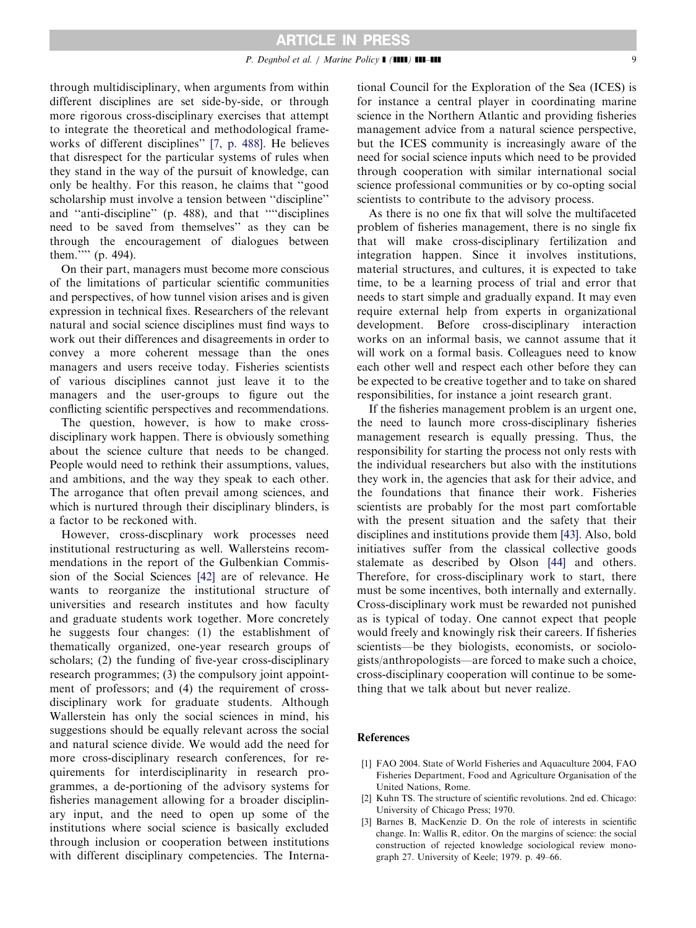<span id="page-8-0"></span>through multidisciplinary, when arguments from within different disciplines are set side-by-side, or through more rigorous cross-disciplinary exercises that attempt to integrate the theoretical and methodological frameworks of different disciplines'' [\[7, p. 488\].](#page-9-0) He believes that disrespect for the particular systems of rules when they stand in the way of the pursuit of knowledge, can only be healthy. For this reason, he claims that ''good scholarship must involve a tension between ''discipline'' and ''anti-discipline'' (p. 488), and that ''''disciplines need to be saved from themselves'' as they can be through the encouragement of dialogues between them.'''' (p. 494).

On their part, managers must become more conscious of the limitations of particular scientific communities and perspectives, of how tunnel vision arises and is given expression in technical fixes. Researchers of the relevant natural and social science disciplines must find ways to work out their differences and disagreements in order to convey a more coherent message than the ones managers and users receive today. Fisheries scientists of various disciplines cannot just leave it to the managers and the user-groups to figure out the conflicting scientific perspectives and recommendations.

The question, however, is how to make crossdisciplinary work happen. There is obviously something about the science culture that needs to be changed. People would need to rethink their assumptions, values, and ambitions, and the way they speak to each other. The arrogance that often prevail among sciences, and which is nurtured through their disciplinary blinders, is a factor to be reckoned with.

However, cross-discplinary work processes need institutional restructuring as well. Wallersteins recommendations in the report of the Gulbenkian Commission of the Social Sciences [\[42\]](#page-9-0) are of relevance. He wants to reorganize the institutional structure of universities and research institutes and how faculty and graduate students work together. More concretely he suggests four changes: (1) the establishment of thematically organized, one-year research groups of scholars; (2) the funding of five-year cross-disciplinary research programmes; (3) the compulsory joint appointment of professors; and (4) the requirement of crossdisciplinary work for graduate students. Although Wallerstein has only the social sciences in mind, his suggestions should be equally relevant across the social and natural science divide. We would add the need for more cross-disciplinary research conferences, for requirements for interdisciplinarity in research programmes, a de-portioning of the advisory systems for fisheries management allowing for a broader disciplinary input, and the need to open up some of the institutions where social science is basically excluded through inclusion or cooperation between institutions with different disciplinary competencies. The International Council for the Exploration of the Sea (ICES) is for instance a central player in coordinating marine science in the Northern Atlantic and providing fisheries management advice from a natural science perspective, but the ICES community is increasingly aware of the need for social science inputs which need to be provided through cooperation with similar international social science professional communities or by co-opting social scientists to contribute to the advisory process.

As there is no one fix that will solve the multifaceted problem of fisheries management, there is no single fix that will make cross-disciplinary fertilization and integration happen. Since it involves institutions, material structures, and cultures, it is expected to take time, to be a learning process of trial and error that needs to start simple and gradually expand. It may even require external help from experts in organizational development. Before cross-disciplinary interaction works on an informal basis, we cannot assume that it will work on a formal basis. Colleagues need to know each other well and respect each other before they can be expected to be creative together and to take on shared responsibilities, for instance a joint research grant.

If the fisheries management problem is an urgent one, the need to launch more cross-disciplinary fisheries management research is equally pressing. Thus, the responsibility for starting the process not only rests with the individual researchers but also with the institutions they work in, the agencies that ask for their advice, and the foundations that finance their work. Fisheries scientists are probably for the most part comfortable with the present situation and the safety that their disciplines and institutions provide them [\[43\]](#page-9-0). Also, bold initiatives suffer from the classical collective goods stalemate as described by Olson [\[44\]](#page-9-0) and others. Therefore, for cross-disciplinary work to start, there must be some incentives, both internally and externally. Cross-disciplinary work must be rewarded not punished as is typical of today. One cannot expect that people would freely and knowingly risk their careers. If fisheries scientists—be they biologists, economists, or sociologists/anthropologists—are forced to make such a choice, cross-disciplinary cooperation will continue to be something that we talk about but never realize.

# References

- [1] FAO 2004. State of World Fisheries and Aquaculture 2004, FAO Fisheries Department, Food and Agriculture Organisation of the United Nations, Rome.
- [2] Kuhn TS. The structure of scientific revolutions. 2nd ed. Chicago: University of Chicago Press; 1970.
- [3] Barnes B, MacKenzie D. On the role of interests in scientific change. In: Wallis R, editor. On the margins of science: the social construction of rejected knowledge sociological review monograph 27. University of Keele; 1979. p. 49–66.